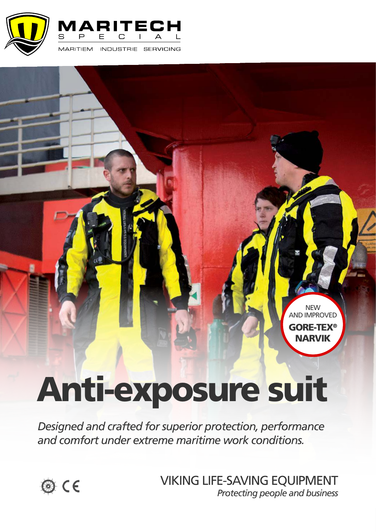

# Anti-exposure suit

*Designed and crafted for superior protection, performance and comfort under extreme maritime work conditions.*



VIKING LIFE-SAVING EQUIPMENT *Protecting people and business*

**NEW** AND IMPROVED

GORE-TEX® NARVIK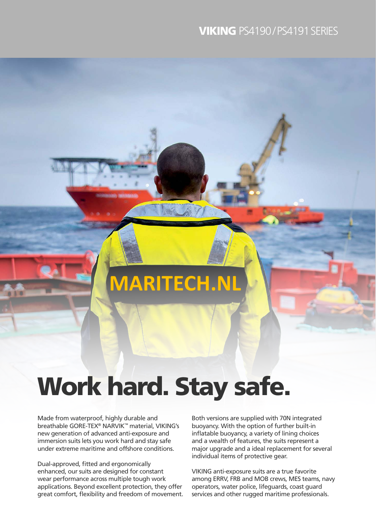#### **VIKING PS4190/PS4191 SERIES**

# **MARITECH.NL**

## Work hard. Stay safe.

Made from waterproof, highly durable and breathable GORE-TEX® NARVIK™ material, VIKING's new generation of advanced anti-exposure and immersion suits lets you work hard and stay safe under extreme maritime and offshore conditions.

Dual-approved, fitted and ergonomically enhanced, our suits are designed for constant wear performance across multiple tough work applications. Beyond excellent protection, they offer great comfort, flexibility and freedom of movement. Both versions are supplied with 70N integrated buoyancy. With the option of further built-in inflatable buoyancy, a variety of lining choices and a wealth of features, the suits represent a major upgrade and a ideal replacement for several individual items of protective gear.

VIKING anti-exposure suits are a true favorite among ERRV, FRB and MOB crews, MES teams, navy operators, water police, lifeguards, coast guard services and other rugged maritime professionals.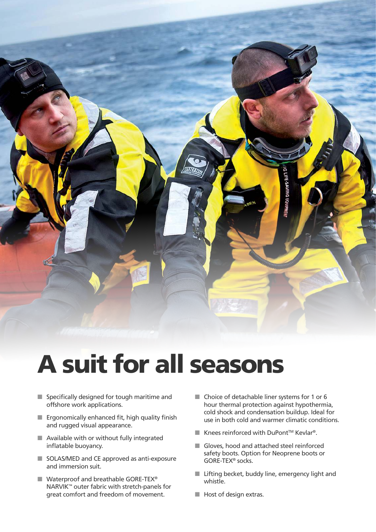

## A suit for all seasons

- $\blacksquare$  Specifically designed for tough maritime and offshore work applications.
- $\blacksquare$  Ergonomically enhanced fit, high quality finish and rugged visual appearance.
- $\blacksquare$  Available with or without fully integrated inflatable buoyancy.
- SOLAS/MED and CE approved as anti-exposure and immersion suit.
- $\blacksquare$  Waterproof and breathable GORE-TEX<sup>®</sup> NARVIK™ outer fabric with stretch-panels for great comfort and freedom of movement.
- $\blacksquare$  Choice of detachable liner systems for 1 or 6 hour thermal protection against hypothermia, cold shock and condensation buildup. Ideal for use in both cold and warmer climatic conditions.
- Knees reinforced with DuPont™ Kevlar<sup>®</sup>.
- Gloves, hood and attached steel reinforced safety boots. Option for Neoprene boots or GORE-TEX® socks.
- $\blacksquare$  Lifting becket, buddy line, emergency light and whistle.
- $\blacksquare$  Host of design extras.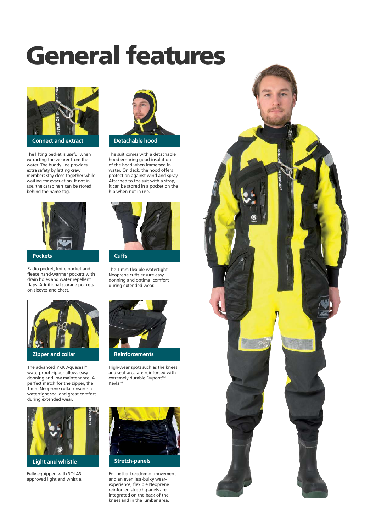# General features



The lifting becket is useful when extracting the wearer from the water. The buddy line provides extra safety by letting crew members stay close together while waiting for evacuation. If not in use, the carabiners can be stored behind the name-tag.



Radio pocket, knife pocket and fleece hand-warmer pockets with drain holes and water repellent flaps. Additional storage pockets on sleeves and chest.



The advanced YKK Aquaseal® waterproof zipper allows easy donning and low maintenance. A perfect match for the zipper, the 1 mm Neoprene collar ensures a watertight seal and great comfort during extended wear.



**Light and whistle** 

Fully equipped with SOLAS approved light and whistle.



The suit comes with a detachable hood ensuring good insulation of the head when immersed in water. On deck, the hood offers protection against wind and spray. .<br>Attached to the suit with a strap, it can be stored in a pocket on the hip when not in use.



The 1 mm flexible watertight Neoprene cuffs ensure easy donning and optimal comfort during extended wear.



High-wear spots such as the knees and seat area are reinforced with extremely durable Dupont™ Kevlar®.



**Stretch-panels**

For better freedom of movement and an even less-bulky wearexperience, flexible Neoprene reinforced stretch-panels are integrated on the back of the knees and in the lumbar area.